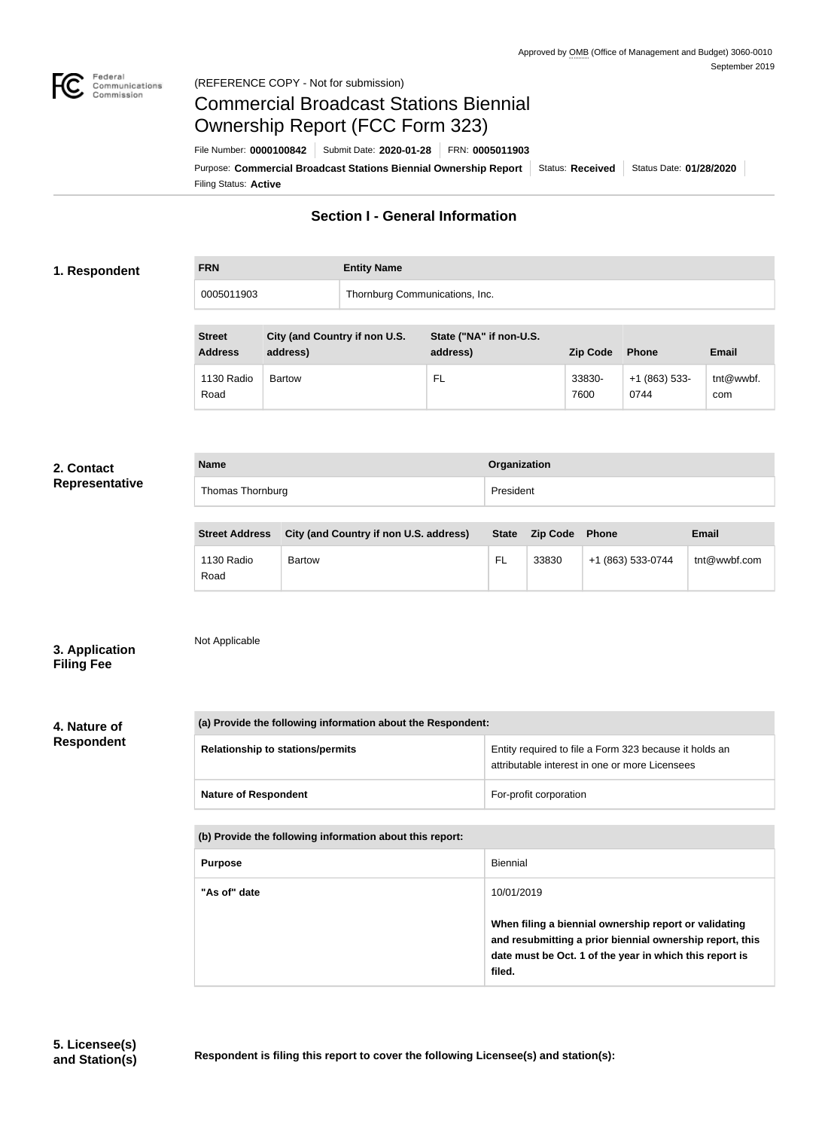

# Commercial Broadcast Stations Biennial Ownership Report (FCC Form 323)

Filing Status: **Active** Purpose: Commercial Broadcast Stations Biennial Ownership Report Status: Received Status Date: 01/28/2020 File Number: **0000100842** Submit Date: **2020-01-28** FRN: **0005011903**

# **Section I - General Information**

# **1. Respondent**

**FRN Entity Name**

0005011903 Thornburg Communications, Inc.

| <b>Street</b><br><b>Address</b> | City (and Country if non U.S.<br>address) | State ("NA" if non-U.S.<br>address) | <b>Zip Code</b> | <b>Phone</b>            | Email            |
|---------------------------------|-------------------------------------------|-------------------------------------|-----------------|-------------------------|------------------|
| 1130 Radio<br>Road              | <b>Bartow</b>                             | FL                                  | 33830-<br>7600  | $+1$ (863) 533-<br>0744 | tnt@wwbf.<br>com |

## **2. Contact Representative**

| <b>Name</b>      | Organization |
|------------------|--------------|
| Thomas Thornburg | President    |
|                  |              |

| <b>Street Address</b> | City (and Country if non U.S. address) | <b>State</b> | <b>Zip Code</b> | Phone             | <b>Email</b> |
|-----------------------|----------------------------------------|--------------|-----------------|-------------------|--------------|
| 1130 Radio<br>Road    | <b>Bartow</b>                          | - FL         | 33830           | +1 (863) 533-0744 | tnt@wwbf.com |

**3. Application Filing Fee**

Not Applicable

**4. Nature of Respondent**

| (a) Provide the following information about the Respondent: |                                                                                                          |  |  |  |
|-------------------------------------------------------------|----------------------------------------------------------------------------------------------------------|--|--|--|
| <b>Relationship to stations/permits</b>                     | Entity required to file a Form 323 because it holds an<br>attributable interest in one or more Licensees |  |  |  |
| <b>Nature of Respondent</b>                                 | For-profit corporation                                                                                   |  |  |  |
| (b) Provide the following information about this report:    |                                                                                                          |  |  |  |
| <b>Purnose</b>                                              | <b>Biennial</b>                                                                                          |  |  |  |

| <b>Purpose</b> | Biennial                                                                                                                                                                               |
|----------------|----------------------------------------------------------------------------------------------------------------------------------------------------------------------------------------|
| "As of" date   | 10/01/2019                                                                                                                                                                             |
|                | When filing a biennial ownership report or validating<br>and resubmitting a prior biennial ownership report, this<br>date must be Oct. 1 of the year in which this report is<br>filed. |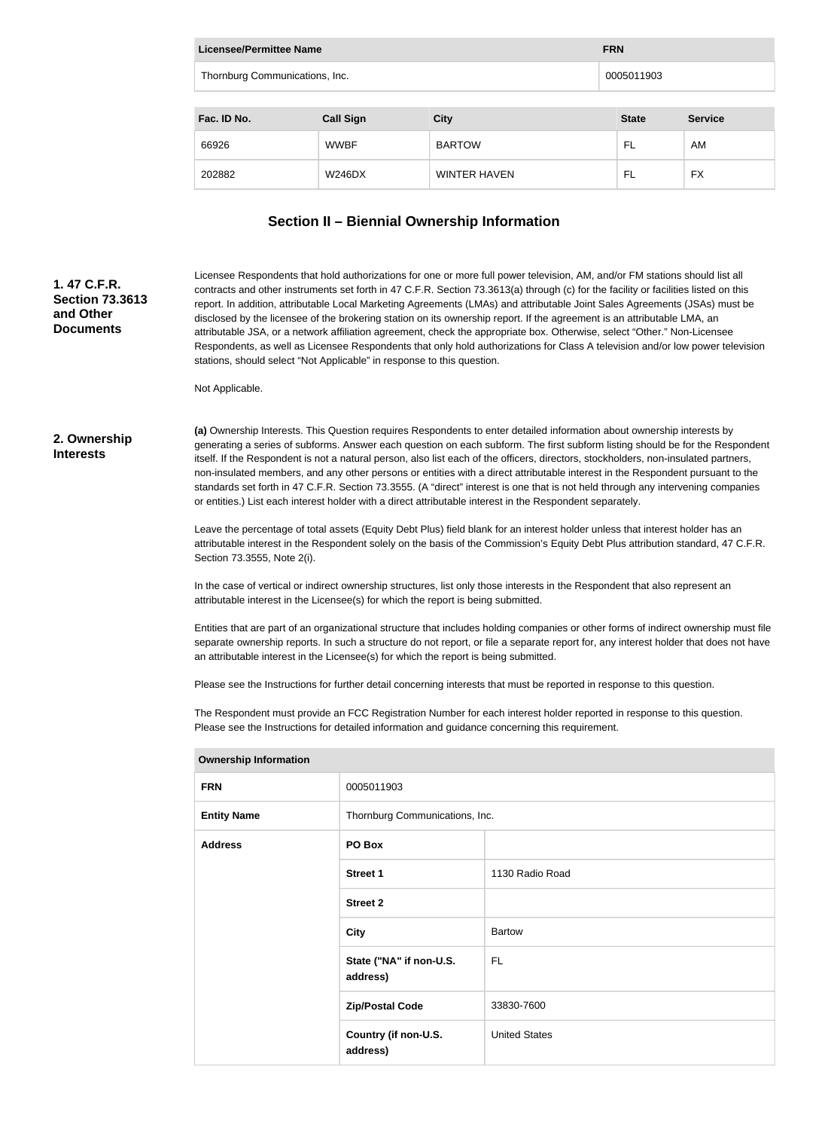| Licensee/Permittee Name        | <b>FRN</b>       |                     |              |                |
|--------------------------------|------------------|---------------------|--------------|----------------|
| Thornburg Communications, Inc. |                  |                     | 0005011903   |                |
|                                |                  |                     |              |                |
| Fac. ID No.                    | <b>Call Sign</b> | <b>City</b>         | <b>State</b> | <b>Service</b> |
| 66926                          | <b>WWBF</b>      | <b>BARTOW</b>       | FL           | AM             |
| 202882                         | W246DX           | <b>WINTER HAVEN</b> | FL           | <b>FX</b>      |

# **Section II – Biennial Ownership Information**

#### Licensee Respondents that hold authorizations for one or more full power television, AM, and/or FM stations should list all contracts and other instruments set forth in 47 C.F.R. Section 73.3613(a) through (c) for the facility or facilities listed on this report. In addition, attributable Local Marketing Agreements (LMAs) and attributable Joint Sales Agreements (JSAs) must be disclosed by the licensee of the brokering station on its ownership report. If the agreement is an attributable LMA, an attributable JSA, or a network affiliation agreement, check the appropriate box. Otherwise, select "Other." Non-Licensee Respondents, as well as Licensee Respondents that only hold authorizations for Class A television and/or low power television stations, should select "Not Applicable" in response to this question.

Not Applicable.

#### **2. Ownership Interests**

**1. 47 C.F.R. Section 73.3613** 

**and Other Documents**

> **(a)** Ownership Interests. This Question requires Respondents to enter detailed information about ownership interests by generating a series of subforms. Answer each question on each subform. The first subform listing should be for the Respondent itself. If the Respondent is not a natural person, also list each of the officers, directors, stockholders, non-insulated partners, non-insulated members, and any other persons or entities with a direct attributable interest in the Respondent pursuant to the standards set forth in 47 C.F.R. Section 73.3555. (A "direct" interest is one that is not held through any intervening companies or entities.) List each interest holder with a direct attributable interest in the Respondent separately.

Leave the percentage of total assets (Equity Debt Plus) field blank for an interest holder unless that interest holder has an attributable interest in the Respondent solely on the basis of the Commission's Equity Debt Plus attribution standard, 47 C.F.R. Section 73.3555, Note 2(i).

In the case of vertical or indirect ownership structures, list only those interests in the Respondent that also represent an attributable interest in the Licensee(s) for which the report is being submitted.

Entities that are part of an organizational structure that includes holding companies or other forms of indirect ownership must file separate ownership reports. In such a structure do not report, or file a separate report for, any interest holder that does not have an attributable interest in the Licensee(s) for which the report is being submitted.

Please see the Instructions for further detail concerning interests that must be reported in response to this question.

The Respondent must provide an FCC Registration Number for each interest holder reported in response to this question. Please see the Instructions for detailed information and guidance concerning this requirement.

| <b>FRN</b>         | 0005011903                          |                      |
|--------------------|-------------------------------------|----------------------|
| <b>Entity Name</b> | Thornburg Communications, Inc.      |                      |
| <b>Address</b>     | PO Box                              |                      |
|                    | <b>Street 1</b>                     | 1130 Radio Road      |
|                    | <b>Street 2</b>                     |                      |
|                    | <b>City</b>                         | <b>Bartow</b>        |
|                    | State ("NA" if non-U.S.<br>address) | FL.                  |
|                    | <b>Zip/Postal Code</b>              | 33830-7600           |
|                    | Country (if non-U.S.<br>address)    | <b>United States</b> |
|                    |                                     |                      |

#### **Ownership Information**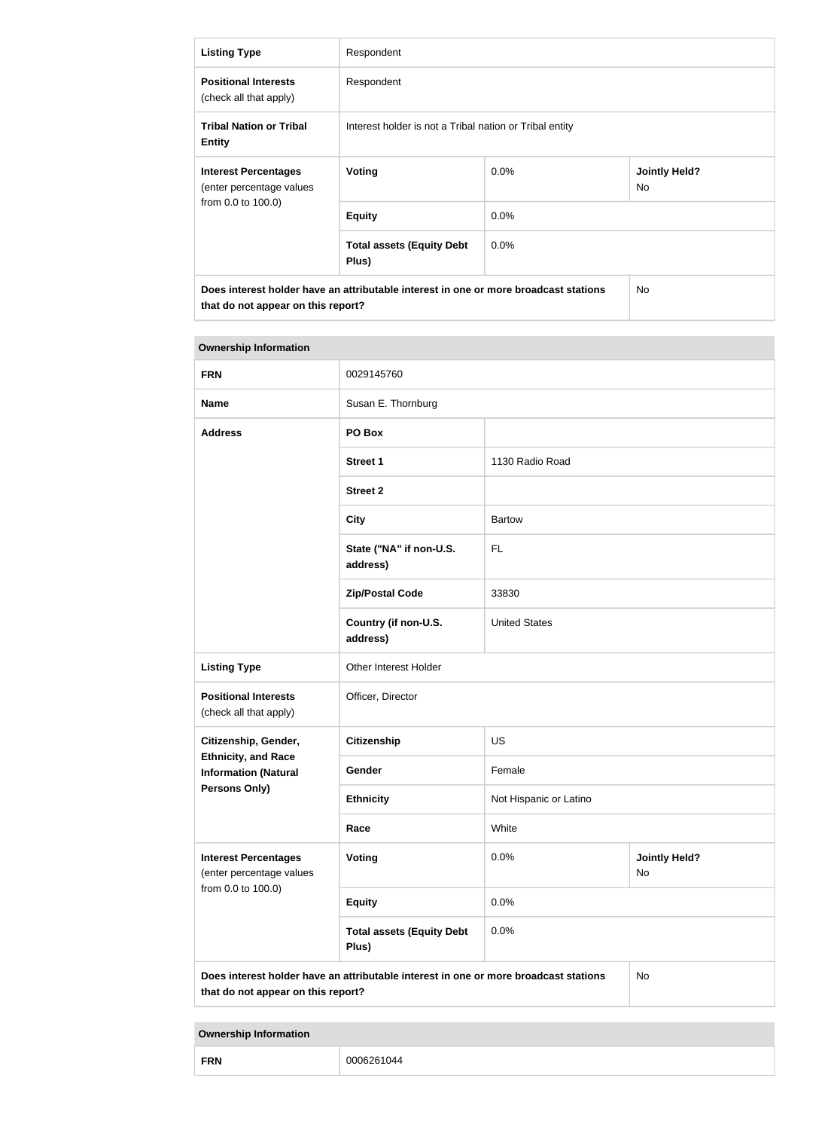| <b>Listing Type</b>                                                                                                        | Respondent                                              |         |                                   |  |
|----------------------------------------------------------------------------------------------------------------------------|---------------------------------------------------------|---------|-----------------------------------|--|
| <b>Positional Interests</b><br>(check all that apply)                                                                      | Respondent                                              |         |                                   |  |
| <b>Tribal Nation or Tribal</b><br><b>Entity</b>                                                                            | Interest holder is not a Tribal nation or Tribal entity |         |                                   |  |
| <b>Interest Percentages</b><br>(enter percentage values                                                                    | Voting                                                  | $0.0\%$ | <b>Jointly Held?</b><br><b>No</b> |  |
| from 0.0 to 100.0)                                                                                                         | <b>Equity</b>                                           | $0.0\%$ |                                   |  |
|                                                                                                                            | <b>Total assets (Equity Debt</b><br>Plus)               | $0.0\%$ |                                   |  |
| Does interest holder have an attributable interest in one or more broadcast stations<br>that do not appear on this report? |                                                         |         | <b>No</b>                         |  |

| <b>Ownership Information</b>                                                                                                     |                                           |                                    |  |  |
|----------------------------------------------------------------------------------------------------------------------------------|-------------------------------------------|------------------------------------|--|--|
| <b>FRN</b>                                                                                                                       | 0029145760                                |                                    |  |  |
| <b>Name</b>                                                                                                                      | Susan E. Thornburg                        |                                    |  |  |
| <b>Address</b>                                                                                                                   | PO Box                                    |                                    |  |  |
|                                                                                                                                  | <b>Street 1</b>                           | 1130 Radio Road                    |  |  |
|                                                                                                                                  | <b>Street 2</b>                           |                                    |  |  |
|                                                                                                                                  | <b>City</b>                               | <b>Bartow</b>                      |  |  |
|                                                                                                                                  | State ("NA" if non-U.S.<br>address)       | <b>FL</b>                          |  |  |
|                                                                                                                                  | <b>Zip/Postal Code</b>                    | 33830                              |  |  |
|                                                                                                                                  | Country (if non-U.S.<br>address)          | <b>United States</b>               |  |  |
| <b>Listing Type</b>                                                                                                              | Other Interest Holder                     |                                    |  |  |
| <b>Positional Interests</b><br>(check all that apply)                                                                            | Officer, Director                         |                                    |  |  |
| Citizenship, Gender,                                                                                                             | <b>Citizenship</b>                        | <b>US</b>                          |  |  |
| <b>Ethnicity, and Race</b><br><b>Information (Natural</b>                                                                        | Gender                                    | Female                             |  |  |
| <b>Persons Only)</b>                                                                                                             | <b>Ethnicity</b>                          | Not Hispanic or Latino             |  |  |
|                                                                                                                                  | Race                                      | White                              |  |  |
| <b>Interest Percentages</b><br>(enter percentage values                                                                          | Voting                                    | 0.0%<br><b>Jointly Held?</b><br>No |  |  |
| from 0.0 to 100.0)                                                                                                               | <b>Equity</b>                             | 0.0%                               |  |  |
|                                                                                                                                  | <b>Total assets (Equity Debt</b><br>Plus) | 0.0%                               |  |  |
| Does interest holder have an attributable interest in one or more broadcast stations<br>No<br>that do not appear on this report? |                                           |                                    |  |  |

**Ownership Information**

| FRN<br>----- | 0006261044 |
|--------------|------------|
|--------------|------------|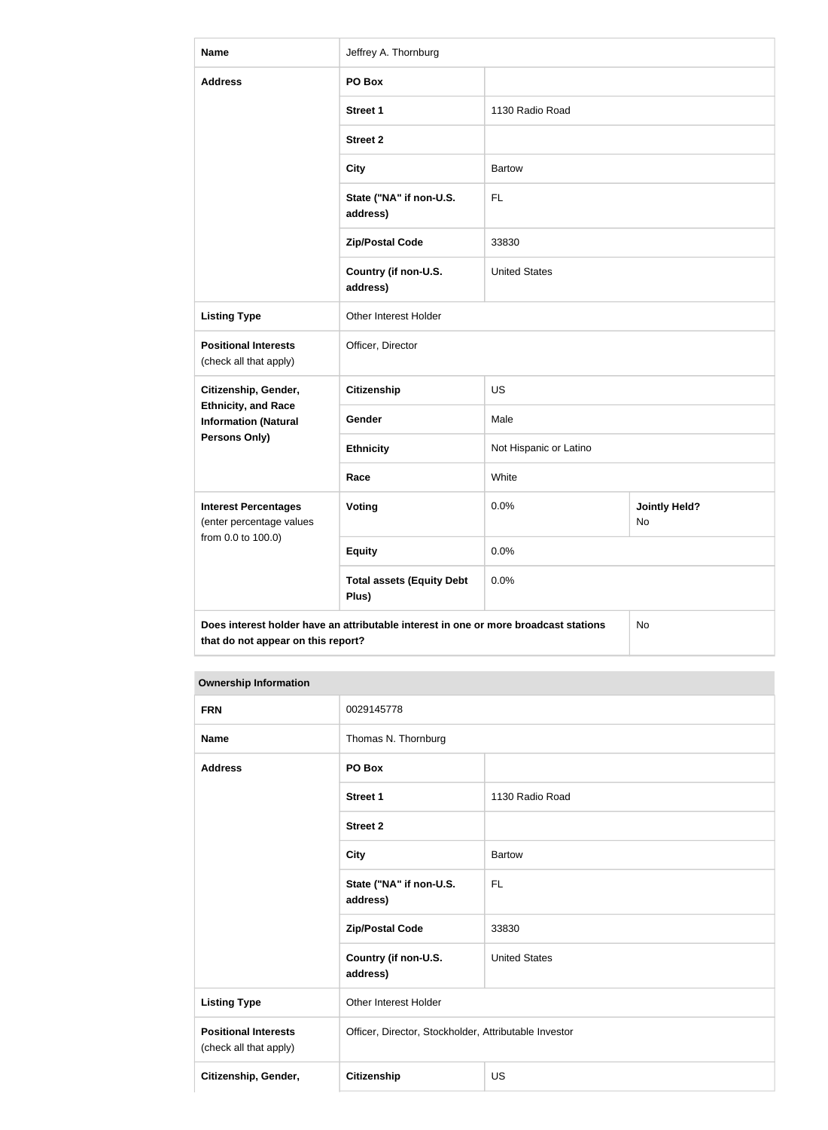| <b>Name</b>                                               | Jeffrey A. Thornburg                                                                 |                        |                            |  |
|-----------------------------------------------------------|--------------------------------------------------------------------------------------|------------------------|----------------------------|--|
| <b>Address</b>                                            | PO Box                                                                               |                        |                            |  |
|                                                           | <b>Street 1</b>                                                                      | 1130 Radio Road        |                            |  |
|                                                           | <b>Street 2</b>                                                                      |                        |                            |  |
|                                                           | <b>City</b>                                                                          | <b>Bartow</b>          |                            |  |
|                                                           | State ("NA" if non-U.S.<br>address)                                                  | <b>FL</b>              |                            |  |
|                                                           | <b>Zip/Postal Code</b>                                                               | 33830                  |                            |  |
|                                                           | Country (if non-U.S.<br>address)                                                     | <b>United States</b>   |                            |  |
| <b>Listing Type</b>                                       | Other Interest Holder                                                                |                        |                            |  |
| <b>Positional Interests</b><br>(check all that apply)     | Officer, Director                                                                    |                        |                            |  |
| Citizenship, Gender,                                      | Citizenship                                                                          | <b>US</b>              |                            |  |
| <b>Ethnicity, and Race</b><br><b>Information (Natural</b> | Gender                                                                               | Male                   |                            |  |
| <b>Persons Only)</b>                                      | <b>Ethnicity</b>                                                                     | Not Hispanic or Latino |                            |  |
|                                                           | Race                                                                                 | White                  |                            |  |
| <b>Interest Percentages</b><br>(enter percentage values   | <b>Voting</b>                                                                        | 0.0%                   | <b>Jointly Held?</b><br>No |  |
| from 0.0 to 100.0)                                        | <b>Equity</b>                                                                        | 0.0%                   |                            |  |
|                                                           | <b>Total assets (Equity Debt</b><br>Plus)                                            | 0.0%                   |                            |  |
| that do not appear on this report?                        | Does interest holder have an attributable interest in one or more broadcast stations |                        | No                         |  |

# **Ownership Information**

| <b>FRN</b>                                            | 0029145778                                            |                      |
|-------------------------------------------------------|-------------------------------------------------------|----------------------|
| <b>Name</b>                                           | Thomas N. Thornburg                                   |                      |
| <b>Address</b>                                        | PO Box                                                |                      |
|                                                       | Street 1                                              | 1130 Radio Road      |
|                                                       | <b>Street 2</b>                                       |                      |
|                                                       | <b>City</b>                                           | <b>Bartow</b>        |
|                                                       | State ("NA" if non-U.S.<br>address)                   | <b>FL</b>            |
|                                                       | <b>Zip/Postal Code</b>                                | 33830                |
|                                                       | Country (if non-U.S.<br>address)                      | <b>United States</b> |
| <b>Listing Type</b>                                   | Other Interest Holder                                 |                      |
| <b>Positional Interests</b><br>(check all that apply) | Officer, Director, Stockholder, Attributable Investor |                      |
| Citizenship, Gender,                                  | Citizenship<br><b>US</b>                              |                      |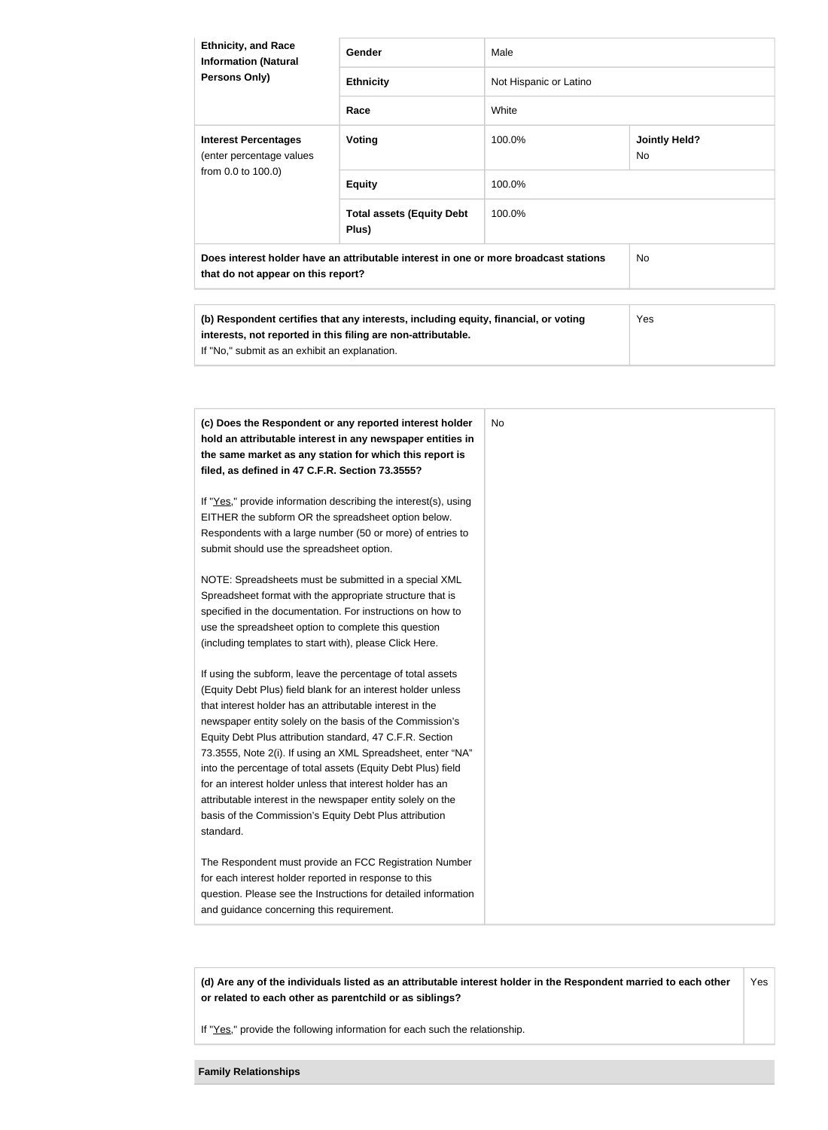| <b>Ethnicity, and Race</b><br><b>Information (Natural</b><br><b>Persons Only)</b>                                          | Gender                                    | Male                   |                             |  |
|----------------------------------------------------------------------------------------------------------------------------|-------------------------------------------|------------------------|-----------------------------|--|
|                                                                                                                            | <b>Ethnicity</b>                          | Not Hispanic or Latino |                             |  |
|                                                                                                                            | Race                                      | White                  |                             |  |
| <b>Interest Percentages</b><br>(enter percentage values<br>from 0.0 to 100.0)                                              | Voting                                    | 100.0%                 | <b>Jointly Held?</b><br>No. |  |
|                                                                                                                            | <b>Equity</b>                             | 100.0%                 |                             |  |
|                                                                                                                            | <b>Total assets (Equity Debt</b><br>Plus) | 100.0%                 |                             |  |
| Does interest holder have an attributable interest in one or more broadcast stations<br>that do not appear on this report? |                                           |                        | No.                         |  |

| (b) Respondent certifies that any interests, including equity, financial, or voting | <b>Yes</b> |
|-------------------------------------------------------------------------------------|------------|
| interests, not reported in this filing are non-attributable.                        |            |
| If "No," submit as an exhibit an explanation.                                       |            |

| (c) Does the Respondent or any reported interest holder         | <b>No</b> |
|-----------------------------------------------------------------|-----------|
| hold an attributable interest in any newspaper entities in      |           |
| the same market as any station for which this report is         |           |
| filed, as defined in 47 C.F.R. Section 73.3555?                 |           |
| If "Yes," provide information describing the interest(s), using |           |
| EITHER the subform OR the spreadsheet option below.             |           |
| Respondents with a large number (50 or more) of entries to      |           |
| submit should use the spreadsheet option.                       |           |
| NOTE: Spreadsheets must be submitted in a special XML           |           |
| Spreadsheet format with the appropriate structure that is       |           |
| specified in the documentation. For instructions on how to      |           |
| use the spreadsheet option to complete this question            |           |
| (including templates to start with), please Click Here.         |           |
| If using the subform, leave the percentage of total assets      |           |
| (Equity Debt Plus) field blank for an interest holder unless    |           |
| that interest holder has an attributable interest in the        |           |
| newspaper entity solely on the basis of the Commission's        |           |
| Equity Debt Plus attribution standard, 47 C.F.R. Section        |           |
| 73.3555, Note 2(i). If using an XML Spreadsheet, enter "NA"     |           |
| into the percentage of total assets (Equity Debt Plus) field    |           |
| for an interest holder unless that interest holder has an       |           |
| attributable interest in the newspaper entity solely on the     |           |
| basis of the Commission's Equity Debt Plus attribution          |           |
| standard.                                                       |           |
| The Respondent must provide an FCC Registration Number          |           |
| for each interest holder reported in response to this           |           |
| question. Please see the Instructions for detailed information  |           |
| and guidance concerning this requirement.                       |           |

**(d) Are any of the individuals listed as an attributable interest holder in the Respondent married to each other or related to each other as parentchild or as siblings?** Yes

If "Yes," provide the following information for each such the relationship.

**Family Relationships**